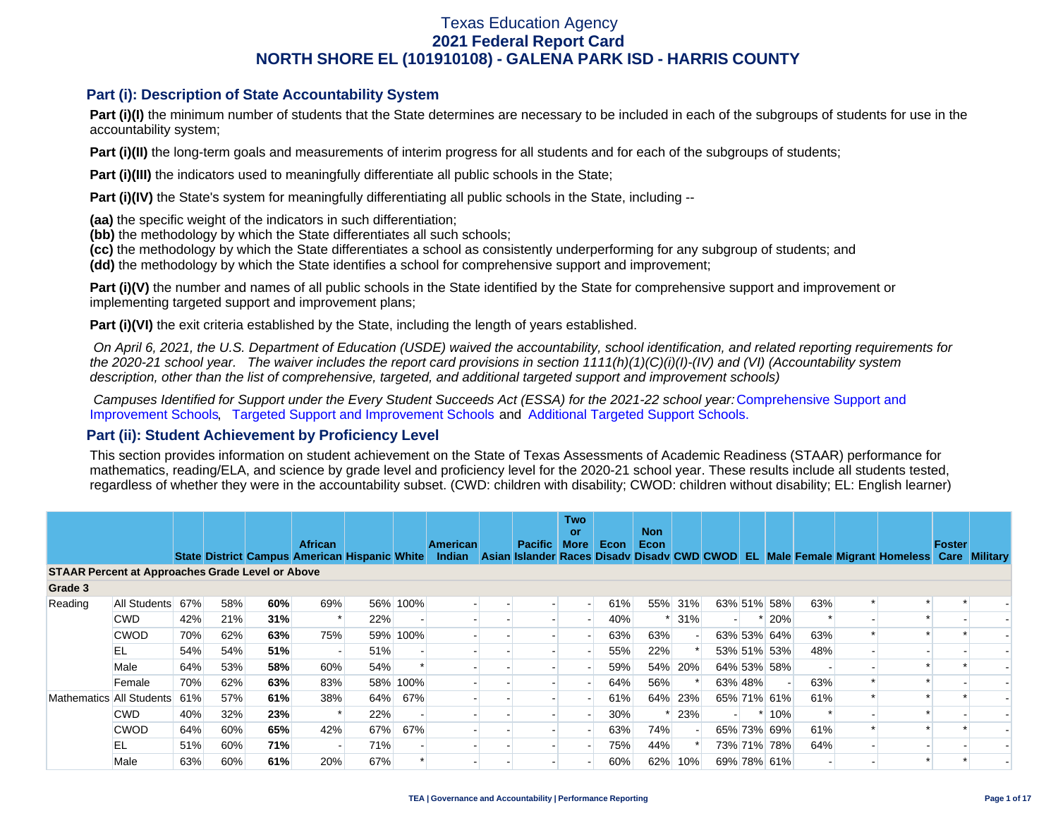### **Part (i): Description of State Accountability System**

Part (i)(I) the minimum number of students that the State determines are necessary to be included in each of the subgroups of students for use in the accountability system;

**Part (i)(II)** the long-term goals and measurements of interim progress for all students and for each of the subgroups of students;

**Part (i)(III)** the indicators used to meaningfully differentiate all public schools in the State;

**Part (i)(IV)** the State's system for meaningfully differentiating all public schools in the State, including --

**(aa)** the specific weight of the indicators in such differentiation;

**(bb)** the methodology by which the State differentiates all such schools;

**(cc)** the methodology by which the State differentiates a school as consistently underperforming for any subgroup of students; and

**(dd)** the methodology by which the State identifies a school for comprehensive support and improvement;

**Part (i)(V)** the number and names of all public schools in the State identified by the State for comprehensive support and improvement or implementing targeted support and improvement plans;

**Part (i)(VI)** the exit criteria established by the State, including the length of years established.

 *On April 6, 2021, the U.S. Department of Education (USDE) waived the accountability, school identification, and related reporting requirements for the 2020-21 school year. The waiver includes the report card provisions in section 1111(h)(1)(C)(i)(I)-(IV) and (VI) (Accountability system description, other than the list of comprehensive, targeted, and additional targeted support and improvement schools)* 

*Campuses Identified for Support under the Every Student Succeeds Act (ESSA) for the 2021-22 school year:* [Comprehensive Support and](https://tea.texas.gov/sites/default/files/comprehensive_support_2021.xlsx) [Improvement Schools](https://tea.texas.gov/sites/default/files/comprehensive_support_2021.xlsx), [Targeted Support and Improvement Schools](https://tea.texas.gov/sites/default/files/targeted_support_2021.xlsx) and [Additional Targeted Support Schools.](https://tea.texas.gov/sites/default/files/additional_targeted_support_2021.xlsx)

### **Part (ii): Student Achievement by Proficiency Level**

This section provides information on student achievement on the State of Texas Assessments of Academic Readiness (STAAR) performance for mathematics, reading/ELA, and science by grade level and proficiency level for the 2020-21 school year. These results include all students tested, regardless of whether they were in the accountability subset. (CWD: children with disability; CWOD: children without disability; EL: English learner)

|         |                                                         |     |     |     | <b>African</b> |                                               |          | American |  | <b>Pacific</b> | <b>Two</b><br><b>or</b><br><b>More</b> |             | <b>Non</b><br>Econ |         |         |             |     |                                                                                           | Foster |  |
|---------|---------------------------------------------------------|-----|-----|-----|----------------|-----------------------------------------------|----------|----------|--|----------------|----------------------------------------|-------------|--------------------|---------|---------|-------------|-----|-------------------------------------------------------------------------------------------|--------|--|
|         |                                                         |     |     |     |                | State District Campus American Hispanic White |          | Indian   |  |                |                                        | <b>Econ</b> |                    |         |         |             |     | Asian Islander Races Disady Disady CWD CWOD EL Male Female Migrant Homeless Care Military |        |  |
|         | <b>STAAR Percent at Approaches Grade Level or Above</b> |     |     |     |                |                                               |          |          |  |                |                                        |             |                    |         |         |             |     |                                                                                           |        |  |
| Grade 3 |                                                         |     |     |     |                |                                               |          |          |  |                |                                        |             |                    |         |         |             |     |                                                                                           |        |  |
| Reading | All Students                                            | 67% | 58% | 60% | 69%            |                                               | 56% 100% |          |  |                |                                        | 61%         |                    | 55% 31% |         | 63% 51% 58% | 63% |                                                                                           |        |  |
|         | <b>CWD</b>                                              | 42% | 21% | 31% |                | 22%                                           |          |          |  |                |                                        | 40%         |                    | 31%     |         | $* 20%$     |     |                                                                                           |        |  |
|         | <b>CWOD</b>                                             | 70% | 62% | 63% | 75%            |                                               | 59% 100% |          |  |                |                                        | 63%         | 63%                |         |         | 63% 53% 64% | 63% |                                                                                           |        |  |
|         | EL                                                      | 54% | 54% | 51% |                | 51%                                           |          |          |  |                |                                        | 55%         | 22%                |         |         | 53% 51% 53% | 48% |                                                                                           |        |  |
|         | Male                                                    | 64% | 53% | 58% | 60%            | 54%                                           |          |          |  |                |                                        | 59%         |                    | 54% 20% |         | 64% 53% 58% |     |                                                                                           |        |  |
|         | Female                                                  | 70% | 62% | 63% | 83%            |                                               | 58% 100% |          |  |                |                                        | 64%         | 56%                |         | 63% 48% |             | 63% |                                                                                           |        |  |
|         | Mathematics All Students                                | 61% | 57% | 61% | 38%            | 64%                                           | 67%      |          |  |                |                                        | 61%         |                    | 64% 23% |         | 65% 71% 61% | 61% |                                                                                           |        |  |
|         | <b>CWD</b>                                              | 40% | 32% | 23% |                | 22%                                           |          |          |  |                |                                        | 30%         |                    | 23%     |         | $*10%$      |     |                                                                                           |        |  |
|         | <b>CWOD</b>                                             | 64% | 60% | 65% | 42%            | 67%                                           | 67%      |          |  |                |                                        | 63%         | 74%                |         |         | 65% 73% 69% | 61% |                                                                                           |        |  |
|         | EL                                                      | 51% | 60% | 71% |                | 71%                                           |          |          |  |                |                                        | 75%         | 44%                |         |         | 73% 71% 78% | 64% |                                                                                           |        |  |
|         | Male                                                    | 63% | 60% | 61% | 20%            | 67%                                           |          |          |  |                |                                        | 60%         | 62%                | 10%     |         | 69% 78% 61% |     |                                                                                           |        |  |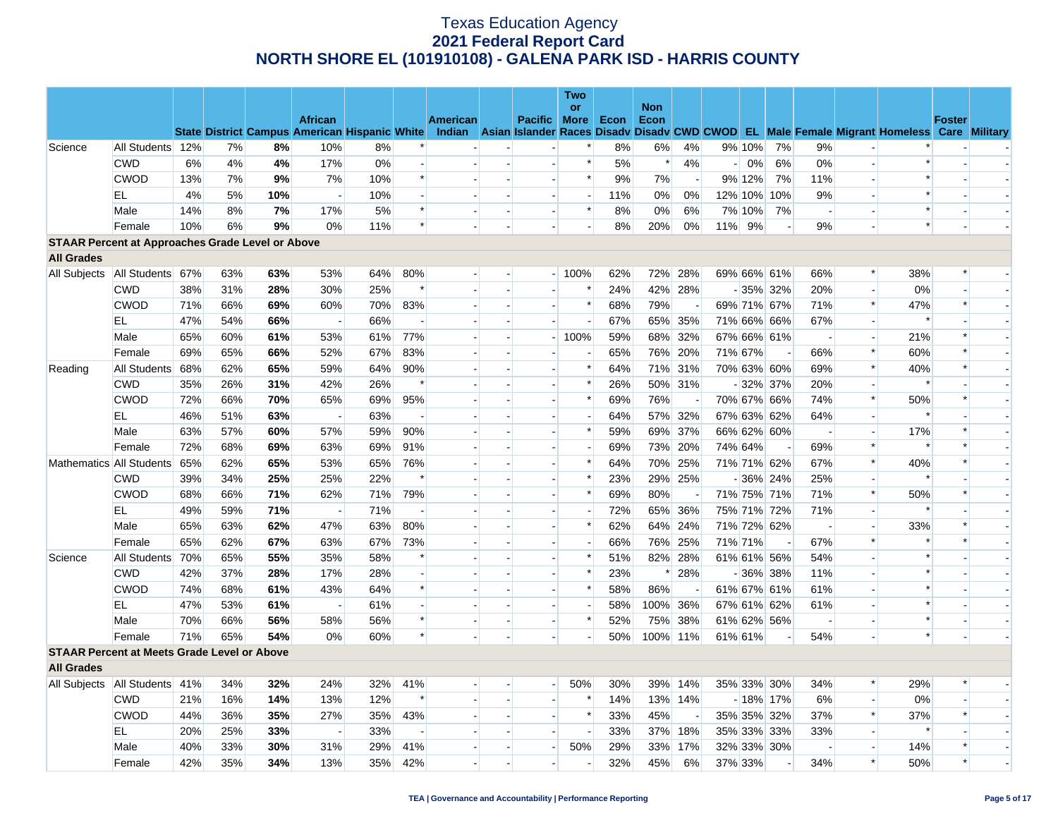|                   |                                                         |     |     |     |                                                      |       |                          |          |                          |                          | <b>Two</b>               |      |                    |                          |         |        |             |                          |                          |                                                                                                  |               |  |
|-------------------|---------------------------------------------------------|-----|-----|-----|------------------------------------------------------|-------|--------------------------|----------|--------------------------|--------------------------|--------------------------|------|--------------------|--------------------------|---------|--------|-------------|--------------------------|--------------------------|--------------------------------------------------------------------------------------------------|---------------|--|
|                   |                                                         |     |     |     | <b>African</b>                                       |       |                          |          |                          |                          | or                       |      | <b>Non</b><br>Econ |                          |         |        |             |                          |                          |                                                                                                  | <b>Foster</b> |  |
|                   |                                                         |     |     |     | <b>State District Campus American Hispanic White</b> |       |                          | American |                          | Pacific More             |                          | Econ |                    |                          |         |        |             |                          |                          | Indian Asian Islander Races Disady Disady CWD CWOD EL Male Female Migrant Homeless Care Military |               |  |
| Science           | All Students 12%                                        |     | 7%  | 8%  | 10%                                                  | 8%    |                          |          |                          |                          | $\ast$                   | 8%   | 6%                 | 4%                       |         | 9% 10% | 7%          | 9%                       |                          |                                                                                                  |               |  |
|                   | <b>CWD</b>                                              | 6%  | 4%  | 4%  | 17%                                                  | $0\%$ |                          |          |                          |                          | $\ast$                   | 5%   | $\ast$             | 4%                       | $-1$    | 0%     | 6%          | 0%                       | $\overline{a}$           | $\ast$                                                                                           |               |  |
|                   | <b>CWOD</b>                                             | 13% | 7%  | 9%  | 7%                                                   | 10%   | $\ast$                   |          |                          |                          | $\ast$                   | 9%   | 7%                 | $\overline{\phantom{a}}$ |         | 9% 12% | 7%          | 11%                      |                          | $\ast$                                                                                           |               |  |
|                   | EL                                                      | 4%  | 5%  | 10% | $\overline{\phantom{a}}$                             | 10%   |                          |          |                          | $\overline{a}$           | $\overline{\phantom{a}}$ | 11%  | $0\%$              | 0%                       |         |        | 12% 10% 10% | 9%                       |                          | $\ast$                                                                                           |               |  |
|                   | Male                                                    | 14% | 8%  | 7%  | 17%                                                  | 5%    | $\ast$                   |          | $\overline{\phantom{a}}$ | $\overline{\phantom{a}}$ | $\ast$                   | 8%   | $0\%$              | 6%                       |         | 7% 10% | 7%          | $\overline{\phantom{a}}$ |                          | $\ast$                                                                                           |               |  |
|                   | Female                                                  | 10% | 6%  | 9%  | 0%                                                   | 11%   | $\ast$                   |          |                          |                          | $\overline{a}$           | 8%   | 20%                | 0%                       | $11\%$  | 9%     |             | 9%                       |                          | $\ast$                                                                                           |               |  |
|                   | <b>STAAR Percent at Approaches Grade Level or Above</b> |     |     |     |                                                      |       |                          |          |                          |                          |                          |      |                    |                          |         |        |             |                          |                          |                                                                                                  |               |  |
| <b>All Grades</b> |                                                         |     |     |     |                                                      |       |                          |          |                          |                          |                          |      |                    |                          |         |        |             |                          |                          |                                                                                                  |               |  |
| All Subjects      | All Students 67%                                        |     | 63% | 63% | 53%                                                  | 64%   | 80%                      |          |                          |                          | $-100%$                  | 62%  |                    | 72% 28%                  |         |        | 69% 66% 61% | 66%                      | $\ast$                   | 38%                                                                                              | $\ast$        |  |
|                   | <b>CWD</b>                                              | 38% | 31% | 28% | 30%                                                  | 25%   | $\ast$                   |          |                          |                          | $\ast$                   | 24%  |                    | 42% 28%                  |         |        | $-35\%$ 32% | 20%                      |                          | 0%                                                                                               |               |  |
|                   | <b>CWOD</b>                                             | 71% | 66% | 69% | 60%                                                  | 70%   | 83%                      |          | $\overline{a}$           | $\overline{\phantom{a}}$ | $\ast$                   | 68%  | 79%                | $\overline{a}$           |         |        | 69% 71% 67% | 71%                      | $\ast$                   | 47%                                                                                              | $\ast$        |  |
|                   | EL                                                      | 47% | 54% | 66% | $\overline{\phantom{a}}$                             | 66%   |                          |          | $\overline{\phantom{a}}$ |                          | $\overline{\phantom{a}}$ | 67%  |                    | 65% 35%                  |         |        | 71% 66% 66% | 67%                      |                          | $\ast$                                                                                           |               |  |
|                   | Male                                                    | 65% | 60% | 61% | 53%                                                  | 61%   | 77%                      |          | $\overline{a}$           |                          | $-100%$                  | 59%  |                    | 68% 32%                  |         |        | 67% 66% 61% | $\overline{\phantom{a}}$ | $\overline{a}$           | 21%                                                                                              | $\ast$        |  |
|                   | Female                                                  | 69% | 65% | 66% | 52%                                                  | 67%   | 83%                      |          |                          |                          |                          | 65%  |                    | 76% 20%                  | 71% 67% |        |             | 66%                      | $\ast$                   | 60%                                                                                              | $\ast$        |  |
| Reading           | All Students                                            | 68% | 62% | 65% | 59%                                                  | 64%   | 90%                      |          | $\overline{a}$           | $\overline{a}$           | $\ast$                   | 64%  |                    | 71% 31%                  |         |        | 70% 63% 60% | 69%                      | $\ast$                   | 40%                                                                                              | $\ast$        |  |
|                   | <b>CWD</b>                                              | 35% | 26% | 31% | 42%                                                  | 26%   | $\ast$                   |          |                          |                          | $\ast$                   | 26%  |                    | 50% 31%                  |         |        | $-32\%$ 37% | 20%                      |                          | $\ast$                                                                                           |               |  |
|                   | <b>CWOD</b>                                             | 72% | 66% | 70% | 65%                                                  | 69%   | 95%                      |          |                          | $\overline{\phantom{a}}$ | $\ast$                   | 69%  | 76%                |                          |         |        | 70% 67% 66% | 74%                      | $\ast$                   | 50%                                                                                              |               |  |
|                   | EL                                                      | 46% | 51% | 63% | $\overline{\phantom{a}}$                             | 63%   |                          |          |                          |                          | $\blacksquare$           | 64%  |                    | 57% 32%                  |         |        | 67% 63% 62% | 64%                      |                          | $\ast$                                                                                           |               |  |
|                   | Male                                                    | 63% | 57% | 60% | 57%                                                  | 59%   | 90%                      |          |                          | $\sim$                   | $\ast$                   | 59%  |                    | 69% 37%                  |         |        | 66% 62% 60% | $\overline{\phantom{a}}$ |                          | 17%                                                                                              | $\ast$        |  |
|                   | Female                                                  | 72% | 68% | 69% | 63%                                                  | 69%   | 91%                      |          |                          |                          | $\blacksquare$           | 69%  |                    | 73% 20%                  | 74% 64% |        |             | 69%                      | $\ast$                   | $\ast$                                                                                           | $\ast$        |  |
|                   | Mathematics All Students                                | 65% | 62% | 65% | 53%                                                  | 65%   | 76%                      |          |                          | $\sim$                   | $\ast$                   | 64%  |                    | 70% 25%                  |         |        | 71% 71% 62% | 67%                      | $\ast$                   | 40%                                                                                              | $\ast$        |  |
|                   | <b>CWD</b>                                              | 39% | 34% | 25% | 25%                                                  | 22%   | $\ast$                   |          |                          | $\blacksquare$           | $\ast$                   | 23%  |                    | 29% 25%                  |         |        | $-36\%$ 24% | 25%                      |                          | $\ast$                                                                                           |               |  |
|                   | <b>CWOD</b>                                             | 68% | 66% | 71% | 62%                                                  | 71%   | 79%                      |          |                          |                          | $\ast$                   | 69%  | 80%                |                          |         |        | 71% 75% 71% | 71%                      | $\ast$                   | 50%                                                                                              | $\ast$        |  |
|                   | EL.                                                     | 49% | 59% | 71% | $\overline{a}$                                       | 71%   | $\overline{\phantom{a}}$ |          | $\overline{\phantom{a}}$ | $\blacksquare$           | $\blacksquare$           | 72%  |                    | 65% 36%                  |         |        | 75% 71% 72% | 71%                      | $\overline{\phantom{a}}$ |                                                                                                  |               |  |
|                   | Male                                                    | 65% | 63% | 62% | 47%                                                  | 63%   | 80%                      |          |                          |                          | $\ast$                   | 62%  |                    | 64% 24%                  |         |        | 71% 72% 62% | $\overline{\phantom{a}}$ | $\overline{\phantom{a}}$ | 33%                                                                                              | $\ast$        |  |
|                   | Female                                                  | 65% | 62% | 67% | 63%                                                  | 67%   | 73%                      |          |                          | $\overline{\phantom{a}}$ |                          | 66%  |                    | 76% 25%                  | 71% 71% |        |             | 67%                      | $\ast$                   |                                                                                                  |               |  |
| Science           | All Students                                            | 70% | 65% | 55% | 35%                                                  | 58%   | $\ast$                   |          |                          | $\overline{a}$           | $\ast$                   | 51%  |                    | 82% 28%                  |         |        | 61% 61% 56% | 54%                      |                          | $\ast$                                                                                           |               |  |
|                   | <b>CWD</b>                                              | 42% | 37% | 28% | 17%                                                  | 28%   |                          |          |                          | $\overline{\phantom{a}}$ | $\ast$                   | 23%  | $\ast$             | 28%                      |         |        | $-36\%$ 38% | 11%                      |                          |                                                                                                  |               |  |
|                   | <b>CWOD</b>                                             | 74% | 68% | 61% | 43%                                                  | 64%   | $\ast$                   |          | $\overline{a}$           | $\sim$                   | $\ast$                   | 58%  | 86%                | $\sim$                   |         |        | 61% 67% 61% | 61%                      |                          | $\ast$                                                                                           |               |  |
|                   | EL                                                      | 47% | 53% | 61% | $\overline{\phantom{a}}$                             | 61%   |                          |          |                          |                          |                          | 58%  | 100% 36%           |                          |         |        | 67% 61% 62% | 61%                      |                          | $\ast$                                                                                           |               |  |
|                   | Male                                                    | 70% | 66% | 56% | 58%                                                  | 56%   | $\ast$                   |          | $\overline{\phantom{a}}$ | $\overline{\phantom{a}}$ | $\ast$                   | 52%  |                    | 75% 38%                  |         |        | 61% 62% 56% | $\overline{\phantom{a}}$ |                          | $\ast$                                                                                           |               |  |
|                   | Female                                                  | 71% | 65% | 54% | 0%                                                   | 60%   | $\ast$                   |          |                          |                          |                          | 50%  | 100% 11%           |                          | 61% 61% |        |             | 54%                      |                          | $\ast$                                                                                           |               |  |
|                   | <b>STAAR Percent at Meets Grade Level or Above</b>      |     |     |     |                                                      |       |                          |          |                          |                          |                          |      |                    |                          |         |        |             |                          |                          |                                                                                                  |               |  |
| <b>All Grades</b> |                                                         |     |     |     |                                                      |       |                          |          |                          |                          |                          |      |                    |                          |         |        |             |                          |                          |                                                                                                  |               |  |
|                   | All Subjects   All Students 41%                         |     | 34% | 32% | 24%                                                  | 32%   | 41%                      |          |                          | $\overline{\phantom{0}}$ | 50%                      | 30%  |                    | 39% 14%                  |         |        | 35% 33% 30% | 34%                      | $\ast$                   | 29%                                                                                              |               |  |
|                   | <b>CWD</b>                                              | 21% | 16% | 14% | 13%                                                  | 12%   | $\ast$                   |          |                          | $\overline{a}$           | $\ast$                   | 14%  |                    | 13% 14%                  |         |        | $-18\%$ 17% | 6%                       |                          | 0%                                                                                               |               |  |
|                   | <b>CWOD</b>                                             | 44% | 36% | 35% | 27%                                                  | 35%   | 43%                      |          |                          | $\blacksquare$           | $\ast$                   | 33%  | 45%                |                          |         |        | 35% 35% 32% | 37%                      | $\ast$                   | 37%                                                                                              | $\ast$        |  |
|                   | EL.                                                     | 20% | 25% | 33% | $\sim$                                               | 33%   | $\sim$                   |          | $\overline{\phantom{a}}$ | $\sim$                   |                          | 33%  |                    | 37% 18%                  |         |        | 35% 33% 33% | 33%                      | $\overline{\phantom{a}}$ | $\ast$                                                                                           |               |  |
|                   | Male                                                    | 40% | 33% | 30% | 31%                                                  | 29%   | 41%                      |          |                          | $\overline{\phantom{a}}$ | 50%                      | 29%  |                    | 33% 17%                  |         |        | 32% 33% 30% |                          |                          | 14%                                                                                              | $\ast$        |  |
|                   | Female                                                  | 42% | 35% | 34% | 13%                                                  | 35%   | 42%                      |          |                          |                          | $\blacksquare$           | 32%  | 45%                | 6%                       | 37% 33% |        |             | 34%                      | $\ast$                   | 50%                                                                                              | $\ast$        |  |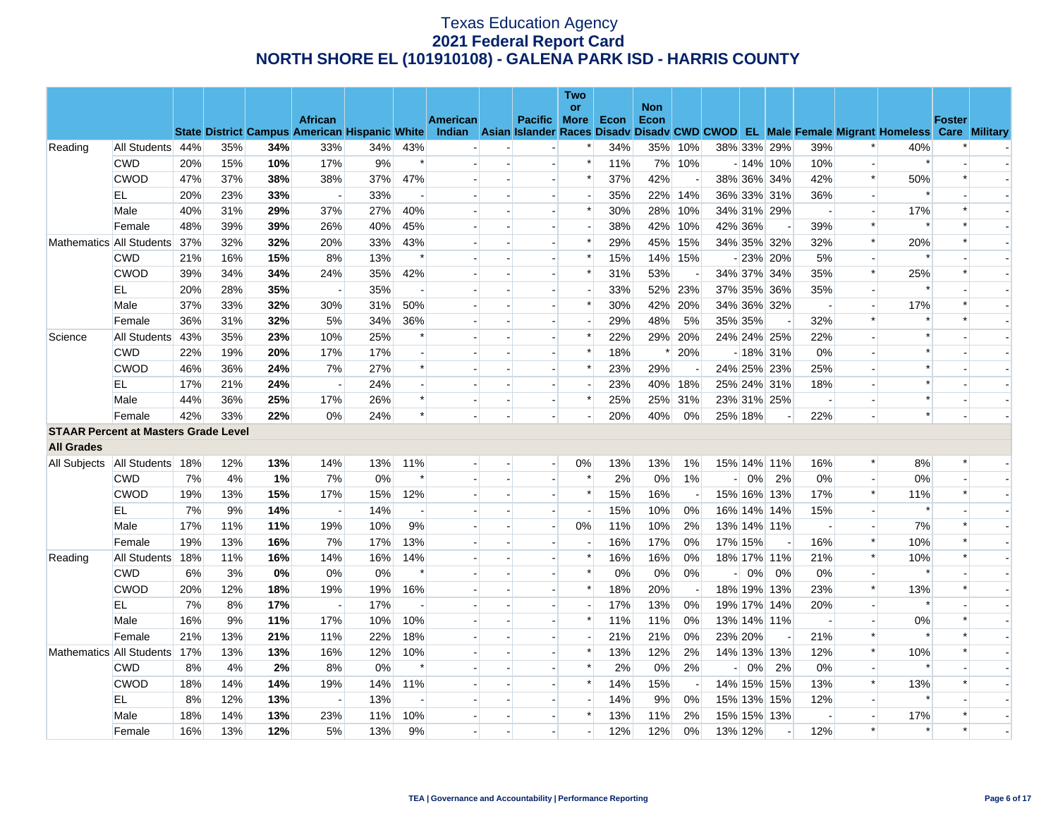|                   |                                             |     |     |     |                          |                                                      |                          |                 |                          |                          | <b>Two</b>               |      |                    |                          |                |         |             |                          |                          |                                                                                                  |               |                          |
|-------------------|---------------------------------------------|-----|-----|-----|--------------------------|------------------------------------------------------|--------------------------|-----------------|--------------------------|--------------------------|--------------------------|------|--------------------|--------------------------|----------------|---------|-------------|--------------------------|--------------------------|--------------------------------------------------------------------------------------------------|---------------|--------------------------|
|                   |                                             |     |     |     | <b>African</b>           |                                                      |                          | <b>American</b> |                          | Pacific More             | <b>or</b>                | Econ | <b>Non</b><br>Econ |                          |                |         |             |                          |                          |                                                                                                  | <b>Foster</b> |                          |
|                   |                                             |     |     |     |                          | <b>State District Campus American Hispanic White</b> |                          |                 |                          |                          |                          |      |                    |                          |                |         |             |                          |                          | Indian Asian Islander Races Disady Disady CWD CWOD EL Male Female Migrant Homeless Care Military |               |                          |
| Reading           | All Students 44%                            |     | 35% | 34% | 33%                      | 34%                                                  | 43%                      |                 |                          |                          |                          | 34%  | 35%                | 10%                      |                |         | 38% 33% 29% | 39%                      |                          | 40%                                                                                              |               |                          |
|                   | <b>CWD</b>                                  | 20% | 15% | 10% | 17%                      | 9%                                                   | $\ast$                   |                 |                          | $\blacksquare$           | $\ast$                   | 11%  |                    | 7% 10%                   |                |         | $-14\%$ 10% | 10%                      |                          | $\ast$                                                                                           |               |                          |
|                   | <b>CWOD</b>                                 | 47% | 37% | 38% | 38%                      | 37%                                                  | 47%                      |                 |                          |                          | $\ast$                   | 37%  | 42%                |                          |                |         | 38% 36% 34% | 42%                      | $\ast$                   | 50%                                                                                              | $\ast$        |                          |
|                   | EL                                          | 20% | 23% | 33% | $\overline{a}$           | 33%                                                  | $\overline{\phantom{a}}$ |                 |                          | $\overline{a}$           | $\overline{a}$           | 35%  | 22%                | 14%                      |                |         | 36% 33% 31% | 36%                      | $\overline{a}$           | $\ast$                                                                                           |               |                          |
|                   | Male                                        | 40% | 31% | 29% | 37%                      | 27%                                                  | 40%                      |                 |                          | $\blacksquare$           | $\ast$                   | 30%  | 28%                | 10%                      |                |         | 34% 31% 29% |                          | $\blacksquare$           | 17%                                                                                              |               |                          |
|                   | Female                                      | 48% | 39% | 39% | 26%                      | 40%                                                  | 45%                      |                 |                          | $\overline{a}$           | $\overline{\phantom{a}}$ | 38%  | 42%                | 10%                      |                | 42% 36% |             | 39%                      | $\ast$                   | $\ast$                                                                                           | $\ast$        |                          |
|                   | Mathematics All Students                    | 37% | 32% | 32% | 20%                      | 33%                                                  | 43%                      |                 |                          | $\overline{a}$           | $\ast$                   | 29%  | 45%                | 15%                      |                |         | 34% 35% 32% | 32%                      | $\ast$                   | 20%                                                                                              | $\ast$        |                          |
|                   | <b>CWD</b>                                  | 21% | 16% | 15% | 8%                       | 13%                                                  | $\ast$                   |                 |                          |                          | $\ast$                   | 15%  |                    | 14% 15%                  |                |         | $-23\%$ 20% | 5%                       |                          | $\ast$                                                                                           |               |                          |
|                   | <b>CWOD</b>                                 | 39% | 34% | 34% | 24%                      | 35%                                                  | 42%                      |                 |                          | $\sim$                   | $\ast$                   | 31%  | 53%                |                          |                |         | 34% 37% 34% | 35%                      | $\ast$                   | 25%                                                                                              | $\ast$        | $\overline{\phantom{a}}$ |
|                   | EL.                                         | 20% | 28% | 35% |                          | 35%                                                  | $\overline{\phantom{a}}$ |                 |                          | $\overline{\phantom{a}}$ | $\blacksquare$           | 33%  |                    | 52% 23%                  |                |         | 37% 35% 36% | 35%                      |                          | $\ast$                                                                                           |               |                          |
|                   | Male                                        | 37% | 33% | 32% | 30%                      | 31%                                                  | 50%                      |                 |                          | $\overline{a}$           | $\ast$                   | 30%  | 42%                | 20%                      |                |         | 34% 36% 32% | $\sim$                   | $\overline{a}$           | 17%                                                                                              | $\ast$        |                          |
|                   | Female                                      | 36% | 31% | 32% | 5%                       | 34%                                                  | 36%                      |                 |                          | $\blacksquare$           | $\blacksquare$           | 29%  | 48%                | 5%                       | 35% 35%        |         |             | 32%                      | $\ast$                   |                                                                                                  |               |                          |
| Science           | All Students                                | 43% | 35% | 23% | 10%                      | 25%                                                  | $\ast$                   |                 |                          |                          | $\ast$                   | 22%  | 29%                | 20%                      |                |         | 24% 24% 25% | 22%                      |                          | $\ast$                                                                                           |               |                          |
|                   | <b>CWD</b>                                  | 22% | 19% | 20% | 17%                      | 17%                                                  | $\sim$                   |                 |                          | $\overline{\phantom{a}}$ | $\ast$                   | 18%  | ∗                  | 20%                      |                |         | $-18\%$ 31% | 0%                       | $\overline{a}$           | $\ast$                                                                                           |               |                          |
|                   | <b>CWOD</b>                                 | 46% | 36% | 24% | 7%                       | 27%                                                  | $\ast$                   |                 |                          | $\overline{a}$           | $\ast$                   | 23%  | 29%                |                          |                |         | 24% 25% 23% | 25%                      |                          | $\ast$                                                                                           |               |                          |
|                   | EL                                          | 17% | 21% | 24% | $\overline{a}$           | 24%                                                  | $\overline{a}$           |                 |                          | $\overline{a}$           | $\overline{a}$           | 23%  | 40%                | 18%                      |                |         | 25% 24% 31% | 18%                      |                          | $\ast$                                                                                           |               |                          |
|                   | Male                                        | 44% | 36% | 25% | 17%                      | 26%                                                  | $\ast$                   |                 |                          | $\overline{\phantom{a}}$ | $\ast$                   | 25%  | 25%                | 31%                      |                |         | 23% 31% 25% | $\overline{\phantom{a}}$ |                          |                                                                                                  |               |                          |
|                   | Female                                      | 42% | 33% | 22% | 0%                       | 24%                                                  | $\ast$                   |                 |                          |                          |                          | 20%  | 40%                | 0%                       | 25% 18%        |         |             | 22%                      |                          | $\ast$                                                                                           |               |                          |
|                   | <b>STAAR Percent at Masters Grade Level</b> |     |     |     |                          |                                                      |                          |                 |                          |                          |                          |      |                    |                          |                |         |             |                          |                          |                                                                                                  |               |                          |
| <b>All Grades</b> |                                             |     |     |     |                          |                                                      |                          |                 |                          |                          |                          |      |                    |                          |                |         |             |                          |                          |                                                                                                  |               |                          |
|                   | All Subjects   All Students   18%           |     | 12% | 13% | 14%                      | 13%                                                  | 11%                      |                 |                          | $\overline{\phantom{a}}$ | $0\%$                    | 13%  | 13%                | 1%                       |                |         | 15% 14% 11% | 16%                      | $\ast$                   | 8%                                                                                               | $\ast$        |                          |
|                   | <b>CWD</b>                                  | 7%  | 4%  | 1%  | 7%                       | $0\%$                                                | $\ast$                   |                 |                          | $\overline{\phantom{a}}$ | $\ast$                   | 2%   | 0%                 | 1%                       | $\overline{a}$ | $0\%$   | 2%          | 0%                       |                          | 0%                                                                                               |               |                          |
|                   | <b>CWOD</b>                                 | 19% | 13% | 15% | 17%                      | 15%                                                  | 12%                      |                 |                          | $\overline{a}$           | $\ast$                   | 15%  | 16%                | $\overline{\phantom{a}}$ |                |         | 15% 16% 13% | 17%                      | $\ast$                   | 11%                                                                                              | $\ast$        |                          |
|                   | EL                                          | 7%  | 9%  | 14% | $\overline{\phantom{a}}$ | 14%                                                  | $\overline{\phantom{a}}$ |                 | $\overline{\phantom{a}}$ | $\overline{\phantom{a}}$ | $\blacksquare$           | 15%  | 10%                | 0%                       |                |         | 16% 14% 14% | 15%                      | $\overline{\phantom{a}}$ | $\ast$                                                                                           |               |                          |
|                   | Male                                        | 17% | 11% | 11% | 19%                      | 10%                                                  | 9%                       |                 |                          | $\overline{\phantom{a}}$ | 0%                       | 11%  | 10%                | 2%                       |                |         | 13% 14% 11% |                          |                          | 7%                                                                                               | $\ast$        |                          |
|                   | Female                                      | 19% | 13% | 16% | 7%                       | 17%                                                  | 13%                      |                 |                          | $\overline{a}$           | $\overline{\phantom{a}}$ | 16%  | 17%                | $0\%$                    | 17% 15%        |         |             | 16%                      | $\ast$                   | 10%                                                                                              | $\ast$        |                          |
| Reading           | All Students                                | 18% | 11% | 16% | 14%                      | 16%                                                  | 14%                      |                 |                          |                          | $\ast$                   | 16%  | 16%                | $0\%$                    |                |         | 18% 17% 11% | 21%                      | $\ast$                   | 10%                                                                                              | $\ast$        |                          |
|                   | <b>CWD</b>                                  | 6%  | 3%  | 0%  | 0%                       | 0%                                                   | $\ast$                   |                 |                          |                          | $\ast$                   | 0%   | 0%                 | 0%                       | $-1$           | 0%      | 0%          | 0%                       |                          | $\ast$                                                                                           |               |                          |
|                   | <b>CWOD</b>                                 | 20% | 12% | 18% | 19%                      | 19%                                                  | 16%                      |                 |                          | $\blacksquare$           | $\ast$                   | 18%  | 20%                |                          |                |         | 18% 19% 13% | 23%                      | $\ast$                   | 13%                                                                                              | $\ast$        |                          |
|                   | EL.                                         | 7%  | 8%  | 17% |                          | 17%                                                  |                          |                 |                          |                          | $\overline{\phantom{a}}$ | 17%  | 13%                | $0\%$                    |                |         | 19% 17% 14% | 20%                      |                          | $\ast$                                                                                           |               |                          |
|                   | Male                                        | 16% | 9%  | 11% | 17%                      | 10%                                                  | 10%                      |                 |                          | $\blacksquare$           | $\ast$                   | 11%  | 11%                | 0%                       |                |         | 13% 14% 11% | $\sim$                   |                          | 0%                                                                                               | $\ast$        | $\overline{\phantom{a}}$ |
|                   | Female                                      | 21% | 13% | 21% | 11%                      | 22%                                                  | 18%                      |                 |                          |                          |                          | 21%  | 21%                | 0%                       | 23% 20%        |         |             | 21%                      | $\ast$                   | $\ast$                                                                                           | $\ast$        |                          |
|                   | Mathematics All Students                    | 17% | 13% | 13% | 16%                      | 12%                                                  | 10%                      |                 |                          |                          | $\ast$                   | 13%  | 12%                | 2%                       |                |         | 14% 13% 13% | 12%                      | $\ast$                   | 10%                                                                                              | $\ast$        |                          |
|                   | <b>CWD</b>                                  | 8%  | 4%  | 2%  | 8%                       | $0\%$                                                | $\ast$                   |                 |                          | $\overline{\phantom{a}}$ | $\ast$                   | 2%   | 0%                 | 2%                       | $\overline{a}$ | $0\%$   | 2%          | 0%                       | $\overline{\phantom{a}}$ | $\ast$                                                                                           |               |                          |
|                   | <b>CWOD</b>                                 | 18% | 14% | 14% | 19%                      | 14%                                                  | 11%                      |                 |                          |                          | $\ast$                   | 14%  | 15%                |                          |                |         | 14% 15% 15% | 13%                      | $\ast$                   | 13%                                                                                              | $\ast$        |                          |
|                   | EL                                          | 8%  | 12% | 13% | $\overline{\phantom{a}}$ | 13%                                                  | $\overline{\phantom{a}}$ |                 |                          | $\overline{a}$           | $\overline{a}$           | 14%  | 9%                 | $0\%$                    |                |         | 15% 13% 15% | 12%                      |                          | $\ast$                                                                                           |               |                          |
|                   | Male                                        | 18% | 14% | 13% | 23%                      | 11%                                                  | 10%                      |                 |                          |                          | *                        | 13%  | 11%                | 2%                       |                |         | 15% 15% 13% |                          |                          | 17%                                                                                              | $\ast$        |                          |
|                   | Female                                      | 16% | 13% | 12% | 5%                       | 13%                                                  | 9%                       |                 |                          |                          |                          | 12%  | 12%                | 0%                       | 13% 12%        |         |             | 12%                      | $\ast$                   | $\ast$                                                                                           | $\ast$        |                          |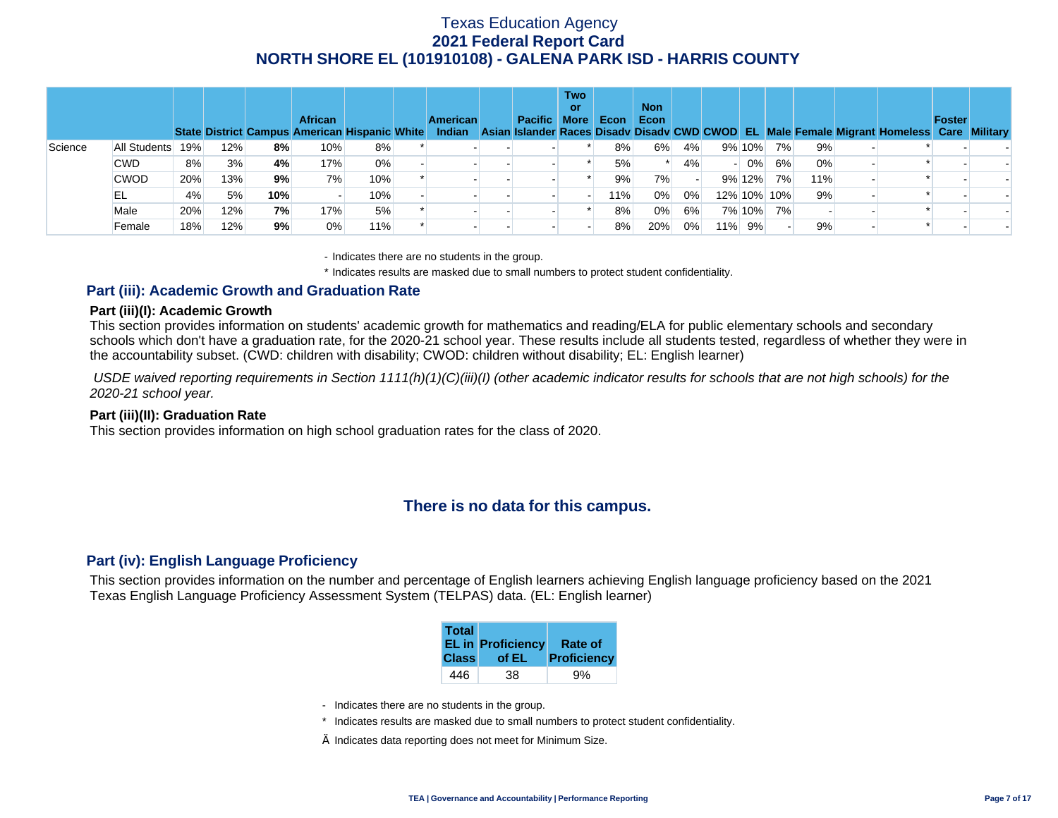|         |              |     |     |     | <b>African</b> | State District Campus American Hispanic White | <b>American</b> | <b>Pacific More</b> | <b>Two</b><br>or | Econ | <b>Non</b><br>Econ |    |     |             |    |     | Indian Asian Islander Races Disady Disady CWD CWOD EL Male Female Migrant Homeless Care Military | <b>Foster</b> |  |
|---------|--------------|-----|-----|-----|----------------|-----------------------------------------------|-----------------|---------------------|------------------|------|--------------------|----|-----|-------------|----|-----|--------------------------------------------------------------------------------------------------|---------------|--|
| Science | All Students | 19% | 12% | 8%  | $10\%$         | 8%                                            |                 |                     |                  | 8%   | 6%                 | 4% |     | 9% 10%      | 7% | 9%  |                                                                                                  |               |  |
|         | <b>CWD</b>   | 8%  | 3%  | 4%  | 17%            | $0\%$                                         |                 |                     |                  | 5%   |                    | 4% |     | $0\%$       | 6% | 0%  |                                                                                                  |               |  |
|         | <b>CWOD</b>  | 20% | 13% | 9%  | 7%             | 10%                                           |                 |                     |                  | 9%   | 7%                 |    |     | 9% 12%      | 7% | 11% |                                                                                                  |               |  |
|         | EL           | 4%  | 5%  | 10% |                | 10%                                           |                 |                     |                  | 11%  | 0%                 | 0% |     | 12% 10% 10% |    | 9%  |                                                                                                  |               |  |
|         | Male         | 20% | 12% | 7%  | 17%            | 5%                                            |                 |                     |                  | 8%   | 0%                 | 6% |     | 7% 10%      | 7% |     |                                                                                                  |               |  |
|         | Female       | 18% | 12% | 9%  | 0%             | 11%                                           |                 |                     |                  | 8%   | 20%                | 0% | 11% | 9%          |    | 9%  |                                                                                                  |               |  |

- Indicates there are no students in the group.

\* Indicates results are masked due to small numbers to protect student confidentiality.

### **Part (iii): Academic Growth and Graduation Rate**

#### **Part (iii)(I): Academic Growth**

This section provides information on students' academic growth for mathematics and reading/ELA for public elementary schools and secondary schools which don't have a graduation rate, for the 2020-21 school year. These results include all students tested, regardless of whether they were in the accountability subset. (CWD: children with disability; CWOD: children without disability; EL: English learner)

 *USDE waived reporting requirements in Section 1111(h)(1)(C)(iii)(I) (other academic indicator results for schools that are not high schools) for the 2020-21 school year.* 

#### **Part (iii)(II): Graduation Rate**

This section provides information on high school graduation rates for the class of 2020.

## **There is no data for this campus.**

### **Part (iv): English Language Proficiency**

This section provides information on the number and percentage of English learners achieving English language proficiency based on the 2021 Texas English Language Proficiency Assessment System (TELPAS) data. (EL: English learner)

| <b>Total</b> | <b>EL in Proficiency</b> | <b>Rate of</b> |
|--------------|--------------------------|----------------|
| <b>Class</b> | of EL                    | Proficiency    |
| 446          | 38                       |                |

- Indicates there are no students in the group.
- \* Indicates results are masked due to small numbers to protect student confidentiality.
- $\diamond$  Indicates data reporting does not meet for Minimum Size.